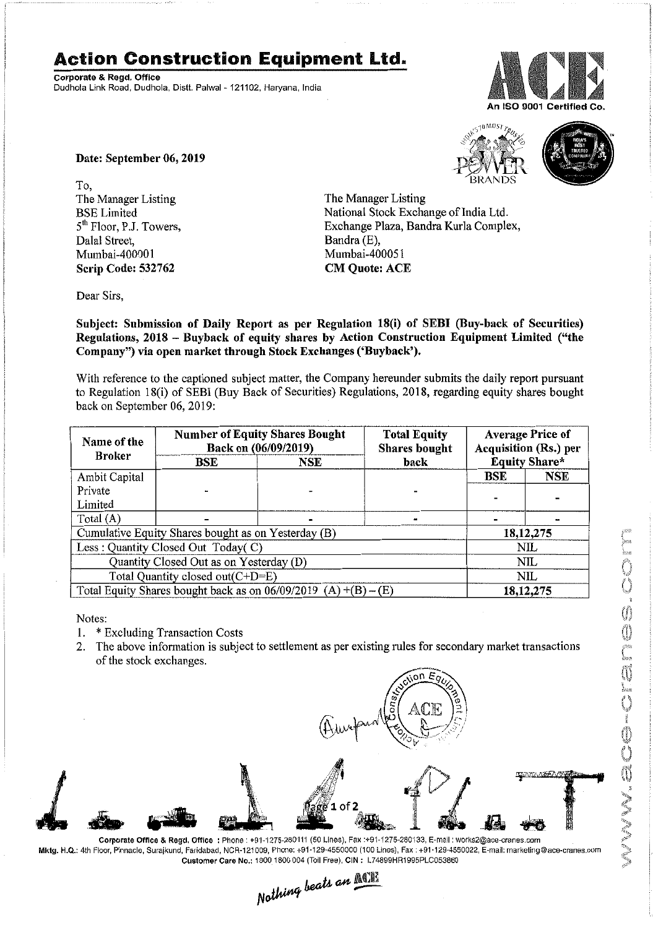## **Action Construction Equipment Ltd.**

Corporate & Regd. Office Dudhola Link Road. Dudhola, Distt. Palwal-121102, Haryana, India



Date: September 06, 2019

To, The Manager Listing BSE Limited 5<sup>th</sup> Floor, P.J. Towers, Dalal Street, Mumbai-400001 Scrip Code: 532762

The Manager Listing National Stock Exchange of India Ltd. Exchange Plaza, Bandra Kurla Complex,



Subject: Submission of Daily Report as per Regulation 18(i) of SEBI (Buy-back of Securities) Regulations, 2018 - Buyback of equity shares by Action Construction Equipment Limited ("the Company") via open market through Stock Exchanges ('Buyback').

Bandra (E), Mumbai-400051 CM Quote: ACE

With reference to the captioned subject matter, the Company hereunder submits the daily report pursuant to Regulation 18(i) of SEBI (Buy Back of Securities) Regulations, 2018, regarding equity shares bought back on September 06,2019:

| Name of the<br><b>Broker</b>                                      | <b>Number of Equity Shares Bought</b><br>Back on (06/09/2019) |            | <b>Total Equity</b><br>Shares bought | <b>Average Price of</b><br>Acquisition (Rs.) per |             |  |
|-------------------------------------------------------------------|---------------------------------------------------------------|------------|--------------------------------------|--------------------------------------------------|-------------|--|
|                                                                   | <b>BSE</b>                                                    | <b>NSE</b> | back                                 | <b>Equity Share*</b>                             |             |  |
| Ambit Capital                                                     |                                                               |            |                                      | <b>BSE</b>                                       | <b>NSE</b>  |  |
| Private                                                           |                                                               |            |                                      |                                                  |             |  |
| Limited                                                           |                                                               |            |                                      |                                                  |             |  |
| Total $(A)$                                                       |                                                               |            |                                      |                                                  |             |  |
| Cumulative Equity Shares bought as on Yesterday (B)               |                                                               |            |                                      |                                                  | 18, 12, 275 |  |
| Less: Quantity Closed Out Today(C)                                |                                                               |            |                                      | NIL                                              |             |  |
| Quantity Closed Out as on Yesterday (D)                           |                                                               |            |                                      | <b>NIL</b>                                       |             |  |
| Total Quantity closed out(C+D=E)                                  |                                                               |            |                                      |                                                  | NIL         |  |
| Total Equity Shares bought back as on $06/09/2019$ (A) +(B) – (E) |                                                               |            |                                      | 18, 12, 275                                      |             |  |

Notes:

- 1. \* Excluding Transaction Costs
- 2. The above information is subject to settlement as per existing rules for secondary market transactions of the stock exchanges.

n۵



Mklg. H.Q.: 4th Floor, Pinnacle, Surajkund, Faridabad, NCR-121009, Phone: +91-129-4550000 (100 Lines), Fax: +91·129-4550022, E-mail: marketing@ace·cranes.com Customer Care No.: 1800 1800 004 (Toll Free), CIN: L74899HR1995PLC053860